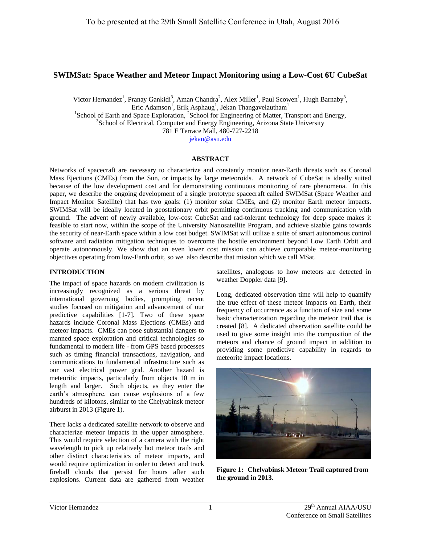# **SWIMSat: Space Weather and Meteor Impact Monitoring using a Low-Cost 6U CubeSat**

Victor Hernandez<sup>1</sup>, Pranay Gankidi<sup>3</sup>, Aman Chandra<sup>2</sup>, Alex Miller<sup>1</sup>, Paul Scowen<sup>1</sup>, Hugh Barnaby<sup>3</sup>, Eric Adamson<sup>1</sup>, Erik Asphaug<sup>1</sup>, Jekan Thangavelautham<sup>1</sup> <sup>1</sup>School of Earth and Space Exploration, <sup>2</sup>School for Engineering of Matter, Transport and Energy, <sup>3</sup>School of Electrical, Computer and Energy Engineering, Arizona State University 781 E Terrace Mall, 480-727-2218 [jekan@asu.edu](mailto:jekan@asu.edu)

## **ABSTRACT**

Networks of spacecraft are necessary to characterize and constantly monitor near-Earth threats such as Coronal Mass Ejections (CMEs) from the Sun, or impacts by large meteoroids. A network of CubeSat is ideally suited because of the low development cost and for demonstrating continuous monitoring of rare phenomena. In this paper, we describe the ongoing development of a single prototype spacecraft called SWIMSat (Space Weather and Impact Monitor Satellite) that has two goals: (1) monitor solar CMEs, and (2) monitor Earth meteor impacts. SWIMSat will be ideally located in geostationary orbit permitting continuous tracking and communication with ground. The advent of newly available, low-cost CubeSat and rad-tolerant technology for deep space makes it feasible to start now, within the scope of the University Nanosatellite Program, and achieve sizable gains towards the security of near-Earth space within a low cost budget. SWIMSat will utilize a suite of smart autonomous control software and radiation mitigation techniques to overcome the hostile environment beyond Low Earth Orbit and operate autonomously. We show that an even lower cost mission can achieve comparable meteor-monitoring objectives operating from low-Earth orbit, so we also describe that mission which we call MSat.

### **INTRODUCTION**

The impact of space hazards on modern civilization is increasingly recognized as a serious threat by international governing bodies, prompting recent studies focused on mitigation and advancement of our predictive capabilities [1-7]. Two of these space hazards include Coronal Mass Ejections (CMEs) and meteor impacts. CMEs can pose substantial dangers to manned space exploration and critical technologies so fundamental to modern life - from GPS based processes such as timing financial transactions, navigation, and communications to fundamental infrastructure such as our vast electrical power grid. Another hazard is meteoritic impacts, particularly from objects 10 m in length and larger. Such objects, as they enter the earth's atmosphere, can cause explosions of a few hundreds of kilotons, similar to the Chelyabinsk meteor airburst in 2013 (Figure 1).

There lacks a dedicated satellite network to observe and characterize meteor impacts in the upper atmosphere. This would require selection of a camera with the right wavelength to pick up relatively hot meteor trails and other distinct characteristics of meteor impacts, and would require optimization in order to detect and track fireball clouds that persist for hours after such explosions. Current data are gathered from weather

satellites, analogous to how meteors are detected in weather Doppler data [9].

Long, dedicated observation time will help to quantify the true effect of these meteor impacts on Earth, their frequency of occurrence as a function of size and some basic characterization regarding the meteor trail that is created [8]. A dedicated observation satellite could be used to give some insight into the composition of the meteors and chance of ground impact in addition to providing some predictive capability in regards to meteorite impact locations.



**Figure 1: Chelyabinsk Meteor Trail captured from the ground in 2013.**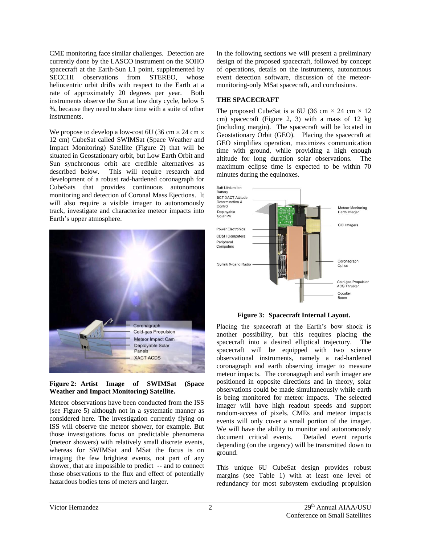CME monitoring face similar challenges. Detection are currently done by the LASCO instrument on the SOHO spacecraft at the Earth-Sun L1 point, supplemented by SECCHI observations from STEREO, whose heliocentric orbit drifts with respect to the Earth at a rate of approximately 20 degrees per year. Both instruments observe the Sun at low duty cycle, below 5 %, because they need to share time with a suite of other instruments.

We propose to develop a low-cost 6U (36 cm  $\times$  24 cm  $\times$ 12 cm) CubeSat called SWIMSat (Space Weather and Impact Monitoring) Satellite (Figure 2) that will be situated in Geostationary orbit, but Low Earth Orbit and Sun synchronous orbit are credible alternatives as described below. This will require research and development of a robust rad-hardened coronagraph for CubeSats that provides continuous autonomous monitoring and detection of Coronal Mass Ejections. It will also require a visible imager to autonomously track, investigate and characterize meteor impacts into Earth's upper atmosphere.



#### **Figure 2: Artist Image of SWIMSat (Space Weather and Impact Monitoring) Satellite.**

Meteor observations have been conducted from the ISS (see Figure 5) although not in a systematic manner as considered here. The investigation currently flying on ISS will observe the meteor shower, for example. But those investigations focus on predictable phenomena (meteor showers) with relatively small discrete events, whereas for SWIMSat and MSat the focus is on imaging the few brightest events, not part of any shower, that are impossible to predict -- and to connect those observations to the flux and effect of potentially hazardous bodies tens of meters and larger.

In the following sections we will present a preliminary design of the proposed spacecraft, followed by concept of operations, details on the instruments, autonomous event detection software, discussion of the meteormonitoring-only MSat spacecraft, and conclusions.

## **THE SPACECRAFT**

The proposed CubeSat is a 6U (36 cm  $\times$  24 cm  $\times$  12 cm) spacecraft (Figure 2, 3) with a mass of 12 kg (including margin). The spacecraft will be located in Geostationary Orbit (GEO). Placing the spacecraft at GEO simplifies operation, maximizes communication time with ground, while providing a high enough altitude for long duration solar observations. The maximum eclipse time is expected to be within 70 minutes during the equinoxes.



**Figure 3: Spacecraft Internal Layout.** 

Placing the spacecraft at the Earth's bow shock is another possibility, but this requires placing the spacecraft into a desired elliptical trajectory. The spacecraft will be equipped with two science observational instruments, namely a rad-hardened coronagraph and earth observing imager to measure meteor impacts. The coronagraph and earth imager are positioned in opposite directions and in theory, solar observations could be made simultaneously while earth is being monitored for meteor impacts. The selected imager will have high readout speeds and support random-access of pixels. CMEs and meteor impacts events will only cover a small portion of the imager. We will have the ability to monitor and autonomously document critical events. Detailed event reports depending (on the urgency) will be transmitted down to ground.

This unique 6U CubeSat design provides robust margins (see Table 1) with at least one level of redundancy for most subsystem excluding propulsion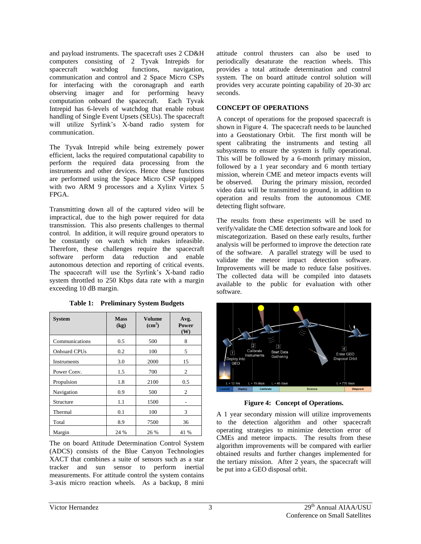and payload instruments. The spacecraft uses 2 CD&H computers consisting of 2 Tyvak Intrepids for<br>spacecraft watchdog functions, navigation, spacecraft watchdog functions, navigation, communication and control and 2 Space Micro CSPs for interfacing with the coronagraph and earth observing imager and for performing heavy computation onboard the spacecraft. Each Tyvak Intrepid has 6-levels of watchdog that enable robust handling of Single Event Upsets (SEUs). The spacecraft will utilize Syrlink's X-band radio system for communication.

The Tyvak Intrepid while being extremely power efficient, lacks the required computational capability to perform the required data processing from the instruments and other devices. Hence these functions are performed using the Space Micro CSP equipped with two ARM 9 processors and a Xylinx Virtex 5 FPGA.

Transmitting down all of the captured video will be impractical, due to the high power required for data transmission. This also presents challenges to thermal control. In addition, it will require ground operators to be constantly on watch which makes infeasible. Therefore, these challenges require the spacecraft software perform data reduction and enable autonomous detection and reporting of critical events. The spacecraft will use the Syrlink's X-band radio system throttled to 250 Kbps data rate with a margin exceeding 10 dB margin.

| <b>System</b>       | <b>Mass</b><br>(kg) | <b>Volume</b><br>(cm <sup>3</sup> ) | Avg.<br>Power<br>(W) |
|---------------------|---------------------|-------------------------------------|----------------------|
| Communications      | 0.5                 | 500                                 | 8                    |
| <b>Onboard CPUs</b> | 0.2                 | 100                                 | 5                    |
| Instruments         | 3.0                 | 2000                                | 15                   |
| Power Conv.         | 1.5                 | 700                                 | 2                    |
| Propulsion          | 1.8                 | 2100                                | 0.5                  |
| Navigation          | 0.9                 | 500                                 | 2                    |
| Structure           | 1.1                 | 1500                                |                      |
| Thermal             | 0.1                 | 100                                 | 3                    |
| Total               | 8.9                 | 7500                                | 36                   |
| Margin              | 24 %                | 26 %                                | 41 %                 |

**Table 1: Preliminary System Budgets** 

The on board Attitude Determination Control System (ADCS) consists of the Blue Canyon Technologies XACT that combines a suite of sensors such as a star tracker and sun sensor to perform inertial measurements. For attitude control the system contains 3-axis micro reaction wheels. As a backup, 8 mini

attitude control thrusters can also be used to periodically desaturate the reaction wheels. This provides a total attitude determination and control system. The on board attitude control solution will provides very accurate pointing capability of 20-30 arc seconds.

# **CONCEPT OF OPERATIONS**

A concept of operations for the proposed spacecraft is shown in Figure 4. The spacecraft needs to be launched into a Geostationary Orbit. The first month will be spent calibrating the instruments and testing all subsystems to ensure the system is fully operational. This will be followed by a 6-month primary mission, followed by a 1 year secondary and 6 month tertiary mission, wherein CME and meteor impacts events will be observed. During the primary mission, recorded video data will be transmitted to ground, in addition to operation and results from the autonomous CME detecting flight software.

The results from these experiments will be used to verify/validate the CME detection software and look for miscategorization. Based on these early results, further analysis will be performed to improve the detection rate of the software. A parallel strategy will be used to validate the meteor impact detection software. Improvements will be made to reduce false positives. The collected data will be compiled into datasets available to the public for evaluation with other software.



**Figure 4: Concept of Operations.** 

A 1 year secondary mission will utilize improvements to the detection algorithm and other spacecraft operating strategies to minimize detection error of CMEs and meteor impacts. The results from these algorithm improvements will be compared with earlier obtained results and further changes implemented for the tertiary mission. After 2 years, the spacecraft will be put into a GEO disposal orbit.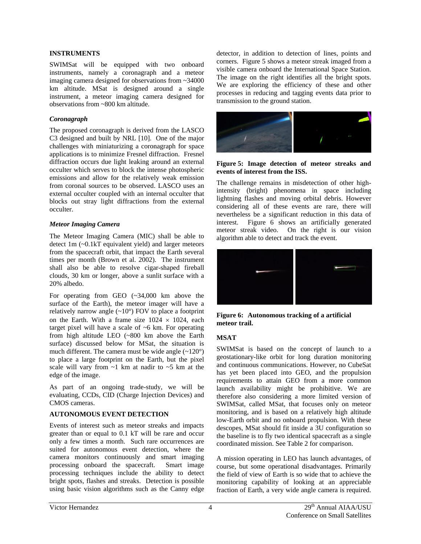#### **INSTRUMENTS**

SWIMSat will be equipped with two onboard instruments, namely a coronagraph and a meteor imaging camera designed for observations from ~34000 km altitude. MSat is designed around a single instrument, a meteor imaging camera designed for observations from ~800 km altitude.

### *Coronagraph*

The proposed coronagraph is derived from the LASCO C3 designed and built by NRL [10]. One of the major challenges with miniaturizing a coronagraph for space applications is to minimize Fresnel diffraction. Fresnel diffraction occurs due light leaking around an external occulter which serves to block the intense photospheric emissions and allow for the relatively weak emission from coronal sources to be observed. LASCO uses an external occulter coupled with an internal occulter that blocks out stray light diffractions from the external occulter.

#### *Meteor Imaging Camera*

The Meteor Imaging Camera (MIC) shall be able to detect 1m (~0.1kT equivalent yield) and larger meteors from the spacecraft orbit, that impact the Earth several times per month (Brown et al. 2002). The instrument shall also be able to resolve cigar-shaped fireball clouds, 30 km or longer, above a sunlit surface with a 20% albedo.

For operating from GEO (~34,000 km above the surface of the Earth), the meteor imager will have a relatively narrow angle  $(-10^{\circ})$  FOV to place a footprint on the Earth. With a frame size  $1024 \times 1024$ , each target pixel will have a scale of ~6 km. For operating from high altitude LEO (~800 km above the Earth surface) discussed below for MSat, the situation is much different. The camera must be wide angle (~120°) to place a large footprint on the Earth, but the pixel scale will vary from  $\sim$ 1 km at nadir to  $\sim$ 5 km at the edge of the image.

As part of an ongoing trade-study, we will be evaluating, CCDs, CID (Charge Injection Devices) and CMOS cameras.

#### **AUTONOMOUS EVENT DETECTION**

Events of interest such as meteor streaks and impacts greater than or equal to 0.1 kT will be rare and occur only a few times a month. Such rare occurrences are suited for autonomous event detection, where the camera monitors continuously and smart imaging processing onboard the spacecraft. Smart image processing techniques include the ability to detect bright spots, flashes and streaks. Detection is possible using basic vision algorithms such as the Canny edge

detector, in addition to detection of lines, points and corners. Figure 5 shows a meteor streak imaged from a visible camera onboard the International Space Station. The image on the right identifies all the bright spots. We are exploring the efficiency of these and other processes in reducing and tagging events data prior to transmission to the ground station.



#### **Figure 5: Image detection of meteor streaks and events of interest from the ISS.**

The challenge remains in misdetection of other highintensity (bright) phenomena in space including lightning flashes and moving orbital debris. However considering all of these events are rare, there will nevertheless be a significant reduction in this data of interest. Figure 6 shows an artificially generated meteor streak video. On the right is our vision algorithm able to detect and track the event.



**Figure 6: Autonomous tracking of a artificial meteor trail.** 

## **MSAT**

SWIMSat is based on the concept of launch to a geostationary-like orbit for long duration monitoring and continuous communications. However, no CubeSat has yet been placed into GEO, and the propulsion requirements to attain GEO from a more common launch availability might be prohibitive. We are therefore also considering a more limited version of SWIMSat, called MSat, that focuses only on meteor monitoring, and is based on a relatively high altitude low-Earth orbit and no onboard propulsion. With these descopes, MSat should fit inside a 3U configuration so the baseline is to fly two identical spacecraft as a single coordinated mission. See Table 2 for comparison.

A mission operating in LEO has launch advantages, of course, but some operational disadvantages. Primarily the field of view of Earth is so wide that to achieve the monitoring capability of looking at an appreciable fraction of Earth, a very wide angle camera is required.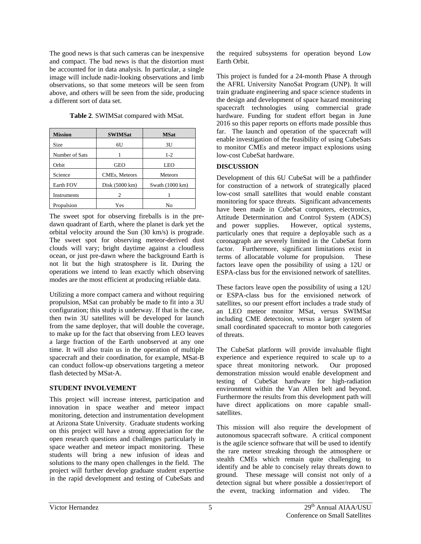The good news is that such cameras can be inexpensive and compact. The bad news is that the distortion must be accounted for in data analysis. In particular, a single image will include nadir-looking observations and limb observations, so that some meteors will be seen from above, and others will be seen from the side, producing a different sort of data set.

**Table 2**. SWIMSat compared with MSat.

| <b>Mission</b> | <b>SWIMSat</b>           | <b>MSat</b>     |
|----------------|--------------------------|-----------------|
| Size           | 6U                       | 3U              |
| Number of Sats |                          | $1 - 2$         |
| Orbit          | <b>GEO</b>               | <b>LEO</b>      |
| Science        | CMEs, Meteors            | <b>Meteors</b>  |
| Earth FOV      | Disk $(5000 \text{ km})$ | Swath (1000 km) |
| Instruments    | 2                        |                 |
| Propulsion     | Yes                      | No              |

The sweet spot for observing fireballs is in the predawn quadrant of Earth, where the planet is dark yet the orbital velocity around the Sun (30 km/s) is prograde. The sweet spot for observing meteor-derived dust clouds will vary; bright daytime against a cloudless ocean, or just pre-dawn where the background Earth is not lit but the high stratosphere is lit. During the operations we intend to lean exactly which observing modes are the most efficient at producing reliable data.

Utilizing a more compact camera and without requiring propulsion, MSat can probably be made to fit into a 3U configuration; this study is underway. If that is the case, then twin 3U satellites will be developed for launch from the same deployer, that will double the coverage, to make up for the fact that observing from LEO leaves a large fraction of the Earth unobserved at any one time. It will also train us in the operation of multiple spacecraft and their coordination, for example, MSat-B can conduct follow-up observations targeting a meteor flash detected by MSat-A.

## **STUDENT INVOLVEMENT**

This project will increase interest, participation and innovation in space weather and meteor impact monitoring, detection and instrumentation development at Arizona State University. Graduate students working on this project will have a strong appreciation for the open research questions and challenges particularly in space weather and meteor impact monitoring. These students will bring a new infusion of ideas and solutions to the many open challenges in the field. The project will further develop graduate student expertise in the rapid development and testing of CubeSats and

the required subsystems for operation beyond Low Earth Orbit.

This project is funded for a 24-month Phase A through the AFRL University NanoSat Program (UNP). It will train graduate engineering and space science students in the design and development of space hazard monitoring spacecraft technologies using commercial grade hardware. Funding for student effort began in June 2016 so this paper reports on efforts made possible thus far. The launch and operation of the spacecraft will enable investigation of the feasibility of using CubeSats to monitor CMEs and meteor impact explosions using low-cost CubeSat hardware.

## **DISCUSSION**

Development of this 6U CubeSat will be a pathfinder for construction of a network of strategically placed low-cost small satellites that would enable constant monitoring for space threats. Significant advancements have been made in CubeSat computers, electronics, Attitude Determination and Control System (ADCS) and power supplies. However, optical systems, particularly ones that require a deployable such as a coronagraph are severely limited in the CubeSat form factor. Furthermore, significant limitations exist in terms of allocatable volume for propulsion. These factors leave open the possibility of using a 12U or ESPA-class bus for the envisioned network of satellites.

These factors leave open the possibility of using a 12U or ESPA-class bus for the envisioned network of satellites, so our present effort includes a trade study of an LEO meteor monitor MSat, versus SWIMSat including CME detectoion, versus a larger system of small coordinated spacecraft to montor both categories of threats.

The CubeSat platform will provide invaluable flight experience and experience required to scale up to a space threat monitoring network. Our proposed demonstration mission would enable development and testing of CubeSat hardware for high-radiation environment within the Van Allen belt and beyond. Furthermore the results from this development path will have direct applications on more capable smallsatellites.

This mission will also require the development of autonomous spacecraft software. A critical component is the agile science software that will be used to identify the rare meteor streaking through the atmosphere or stealth CMEs which remain quite challenging to identify and be able to concisely relay threats down to ground. These message will consist not only of a detection signal but where possible a dossier/report of the event, tracking information and video. The